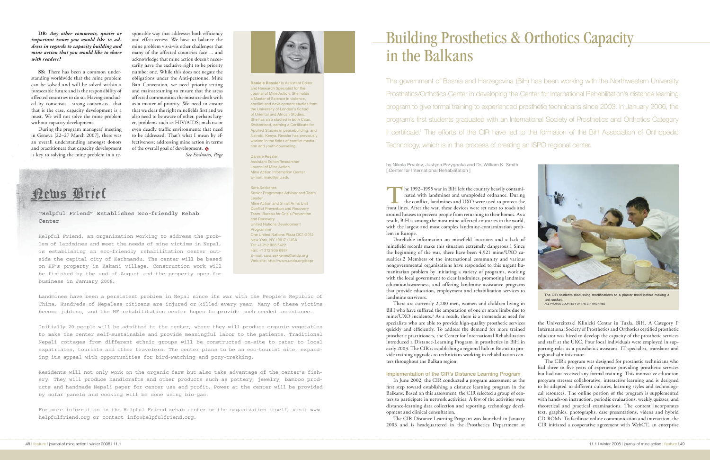## Building Prosthetics & Orthotics Capacity in the Balkans

The government of Bosnia and Herzegovina (BiH) has been working with the Northwestern University Prosthetics/Orthotics Center in developing the Center for International Rehabilitation's distance learning program to give formal training to experienced prosthetic technicians since 2003. In January 2006, the program's first students graduated with an International Society of Prosthetics and Orthotics Category II certificate.<sup>1</sup> The efforts of the CIR have led to the formation of the BiH Association of Orthopedic Technology, which is in the process of creating an ISPO regional center.

by Nikola Prvulov, Justyna Przygocka and Dr. William K. Smith [ Center for International Rehabilitation ]

**T**he 1992–1995 war in BiH left the country heavily contaminated with landmines and unexploded ordnance. During the conflict, landmines and UXO were used to protect the front lines. After the war, these devices were set next to roads and around houses to prevent people from returning to their homes. As a result, BiH is among the most mine-affected countries in the world, with the largest and most complex landmine-contamination problem in Europe.

Unreliable information on minefield locations and a lack of minefield records make this situation extremely dangerous.1 Since the beginning of the war, there have been 4,921 mine/UXO casualties.2 Members of the international community and various nongovernmental organizations have responded to this urgent humanitarian problem by initiating a variety of programs, working with the local government to clear landmines, promoting landmine education/awareness, and offering landmine assistance programs that provide education, employment and rehabilitation services to landmine survivors.

There are currently 2,280 men, women and children living in BiH who have suffered the amputation of one or more limbs due to mine/UXO incidents.3 As a result, there is a tremendous need for specialists who are able to provide high-quality prosthetic services quickly and efficiently. To address the demand for more trained prosthetic practitioners, the Center for International Rehabilitation introduced a Distance-Learning Program in prosthetics in BiH in early 2003. The CIR is establishing a regional hub in Bosnia to provide training upgrades to technicians working in rehabilitation centers throughout the Balkan region.

## Implementation of the CIR's Distance Learning Program

In June 2002, the CIR conducted a program assessment as the first step toward establishing a distance learning program in the Balkans. Based on this assessment, the CIR selected a group of centers to participate in network activities. A few of the activities were distance-learning data collection and reporting, technology development and clinical consultation.

The CIR Distance Learning Program was launched in January 2003 and is headquartered in the Prosthetics Department at



The CIR students discussing modifications to a plaster mold before making a test socket. ALL PHOTOS COURTESY OF THE CIR ARCHIVES

the Univerzitetski Klinicki Centar in Tuzla, BiH. A Category I<sup>4</sup> International Society of Prosthetics and Orthotics certified prosthetic educator was hired to develop the capacity of the prosthetic services and staff at the UKC. Four local individuals were employed in supporting roles as a prosthetics assistant, IT specialist, translator and regional administrator.

The CIR's program was designed for prosthetic technicians who had three to five years of experience providing prosthetic services but had not received any formal training. This innovative education program stresses collaborative, interactive learning and is designed to be adapted to different cultures, learning styles and technological resources. The online portion of the program is supplemented with hands-on instruction, periodic evaluations, weekly quizzes, and theoretical and practical examinations. The content incorporates text, graphics, photographs, case presentations, videos and hybrid CD-ROMs. To facilitate online communication and interaction, the CIR initiated a cooperative agreement with WebCT, an enterprise